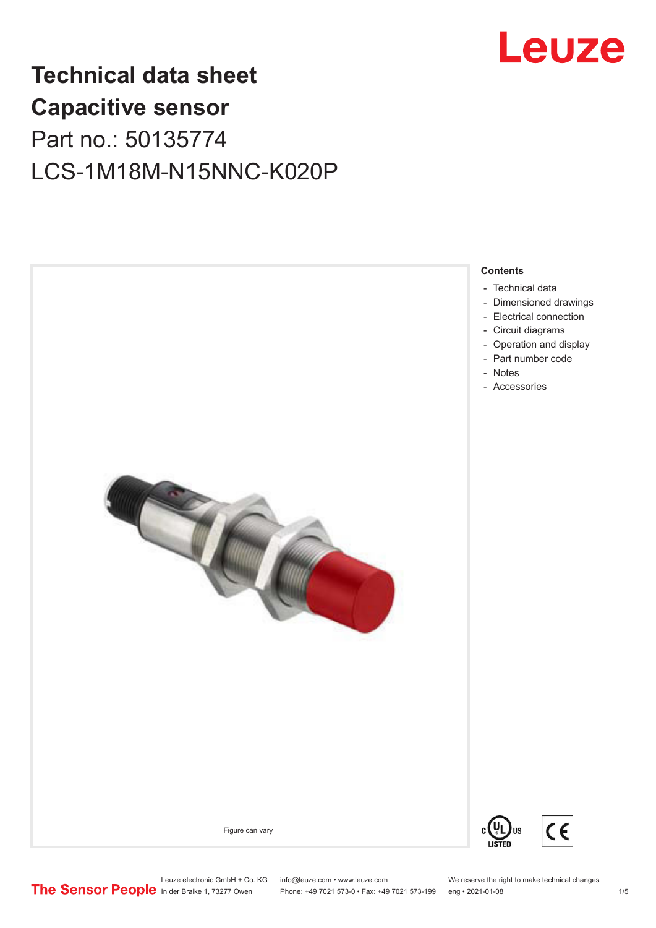

## **Technical data sheet Capacitive sensor** Part no.: 50135774 LCS-1M18M-N15NNC-K020P



**Contents**

- [Technical data](#page-1-0)
- [Dimensioned drawings](#page-2-0)
- [Electrical connection](#page-2-0)
- [Circuit diagrams](#page-3-0)
- [Operation and display](#page-3-0)
- [Part number code](#page-3-0)
- 

Figure can vary



Leuze electronic GmbH + Co. KG info@leuze.com • www.leuze.com We reserve the right to make technical changes<br>
The Sensor People in der Braike 1, 73277 Owen Phone: +49 7021 573-0 • Fax: +49 7021 573-199 eng • 2021-01-08 Phone: +49 7021 573-0 • Fax: +49 7021 573-199 eng • 2021-01-08 1 /5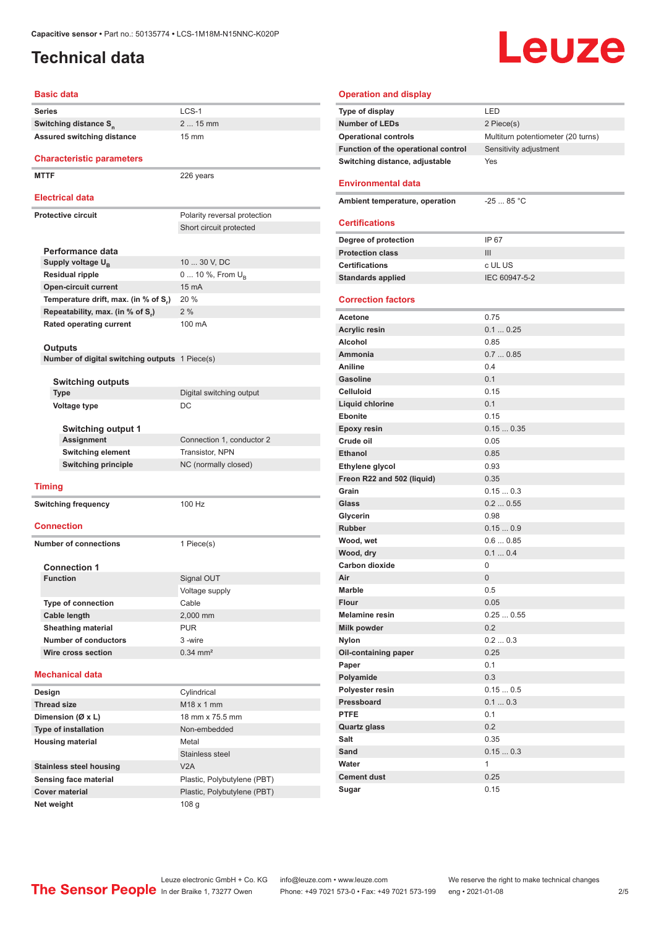### <span id="page-1-0"></span>**Technical data**

# Leuze

#### **Basic data**

| שושט טופט                                      |                              |
|------------------------------------------------|------------------------------|
| <b>Series</b>                                  | LCS-1                        |
| Switching distance S <sub>n</sub>              | 2  15 mm                     |
| Assured switching distance                     | $15 \text{ mm}$              |
| <b>Characteristic parameters</b>               |                              |
| <b>MTTF</b>                                    | 226 years                    |
| <b>Electrical data</b>                         |                              |
| <b>Protective circuit</b>                      | Polarity reversal protection |
|                                                | Short circuit protected      |
|                                                |                              |
| Performance data                               |                              |
| Supply voltage U <sub>B</sub>                  | 10  30 V, DC                 |
| <b>Residual ripple</b>                         | 0  10 %, From $U_{\rm B}$    |
| <b>Open-circuit current</b>                    | 15 mA                        |
| Temperature drift, max. (in % of S.)           | 20 %                         |
| Repeatability, max. (in % of S.)               | 2%                           |
| <b>Rated operating current</b>                 | 100 mA                       |
| Outputs                                        |                              |
| Number of digital switching outputs 1 Piece(s) |                              |
|                                                |                              |
| <b>Switching outputs</b>                       |                              |
| Type                                           | Digital switching output     |
| Voltage type                                   | DC                           |
| <b>Switching output 1</b>                      |                              |
| <b>Assignment</b>                              | Connection 1, conductor 2    |
| <b>Switching element</b>                       | Transistor, NPN              |
| <b>Switching principle</b>                     | NC (normally closed)         |
| <b>Timing</b>                                  |                              |
| <b>Switching frequency</b>                     | 100 Hz                       |
|                                                |                              |
| <b>Connection</b>                              |                              |
| <b>Number of connections</b>                   | 1 Piece(s)                   |
|                                                |                              |
| <b>Connection 1</b>                            |                              |
| <b>Function</b>                                | Signal OUT                   |
|                                                | Voltage supply               |
| <b>Type of connection</b>                      | Cable                        |
| Cable length<br><b>Sheathing material</b>      | 2,000 mm<br><b>PUR</b>       |
| <b>Number of conductors</b>                    | 3-wire                       |
| Wire cross section                             | $0.34$ mm <sup>2</sup>       |
|                                                |                              |
| <b>Mechanical data</b>                         |                              |
| Design                                         | Cylindrical                  |
| <b>Thread size</b>                             | M18 x 1 mm                   |
| Dimension (Ø x L)                              | 18 mm x 75.5 mm              |
| Type of installation                           | Non-embedded                 |
| <b>Housing material</b>                        | Metal                        |
|                                                | Stainless steel              |
| <b>Stainless steel housing</b>                 | V2A                          |
| Sensing face material                          | Plastic, Polybutylene (PBT)  |
| <b>Cover material</b>                          | Plastic, Polybutylene (PBT)  |

| <b>Operation and display</b>        |                                    |
|-------------------------------------|------------------------------------|
| Type of display                     | LED                                |
| <b>Number of LEDs</b>               | 2 Piece(s)                         |
| <b>Operational controls</b>         | Multiturn potentiometer (20 turns) |
| Function of the operational control | Sensitivity adjustment             |
| Switching distance, adjustable      | Yes                                |
|                                     |                                    |
| <b>Environmental data</b>           |                                    |
| Ambient temperature, operation      | $-2585 °C$                         |
|                                     |                                    |
| <b>Certifications</b>               |                                    |
| Degree of protection                | IP 67                              |
| <b>Protection class</b>             | III                                |
| <b>Certifications</b>               | c UL US                            |
| <b>Standards applied</b>            | IEC 60947-5-2                      |
|                                     |                                    |
| <b>Correction factors</b>           |                                    |
| Acetone                             | 0.75                               |
| <b>Acrylic resin</b>                | 0.10.25                            |
| Alcohol                             | 0.85                               |
| Ammonia                             | 0.70.85                            |
| Aniline                             | 0.4                                |
| <b>Gasoline</b>                     | 0.1                                |
| <b>Celluloid</b>                    | 0.15                               |
| Liquid chlorine                     | 0.1                                |
| <b>Ebonite</b>                      | 0.15                               |
| <b>Epoxy resin</b>                  | 0.150.35                           |
| Crude oil                           | 0.05                               |
| <b>Ethanol</b>                      | 0.85                               |
| Ethylene glycol                     | 0.93                               |
| Freon R22 and 502 (liquid)          | 0.35                               |
| Grain                               | 0.150.3                            |
| Glass                               | 0.20.55                            |
| Glycerin                            | 0.98                               |
| <b>Rubber</b>                       | 0.150.9                            |
| Wood, wet                           | 0.60.85                            |
| Wood, dry                           | 0.10.4                             |
| Carbon dioxide                      | 0                                  |
| Air                                 | 0                                  |
| Marble                              | 0.5                                |
| Flour                               | 0.05                               |
| <b>Melamine resin</b>               | 0.250.55                           |
| Milk powder                         | 0.2                                |
| <b>Nylon</b>                        | 0.20.3<br>0.25                     |
| Oil-containing paper                | 0.1                                |
| Paper<br>Polyamide                  | 0.3                                |
| Polyester resin                     | 0.150.5                            |
| Pressboard                          | 0.10.3                             |
| <b>PTFE</b>                         | 0.1                                |
| <b>Quartz glass</b>                 | 0.2                                |
| Salt                                | 0.35                               |
| Sand                                | 0.150.3                            |
| Water                               | 1                                  |
| <b>Cement dust</b>                  | 0.25                               |
| Sugar                               | 0.15                               |

**Net weight** 108 g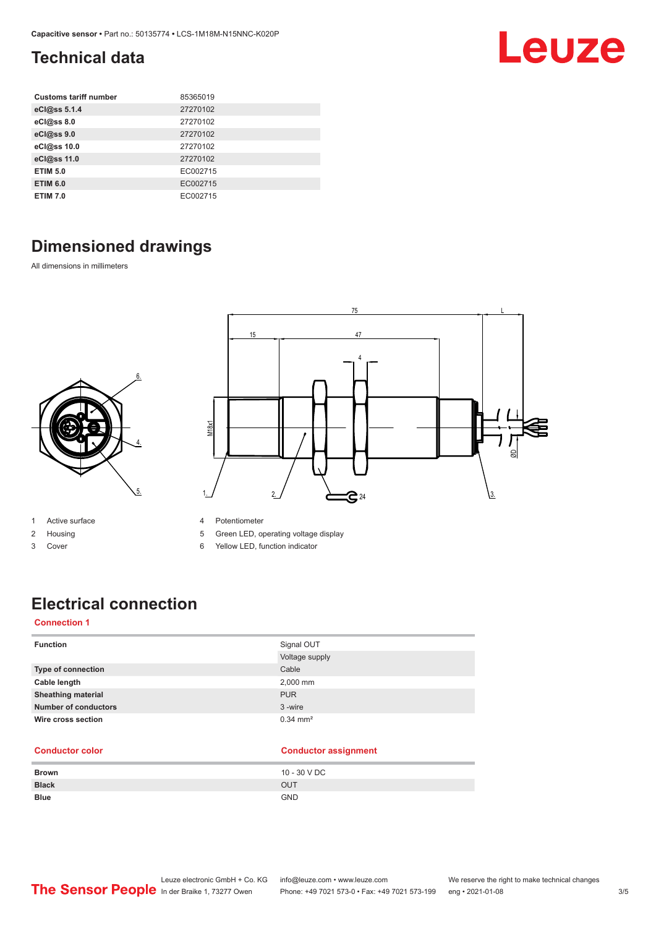### <span id="page-2-0"></span>**Technical data**

| <b>Customs tariff number</b> | 85365019 |
|------------------------------|----------|
| eCl@ss 5.1.4                 | 27270102 |
| eCl@ss 8.0                   | 27270102 |
| eCl@ss 9.0                   | 27270102 |
| eCl@ss 10.0                  | 27270102 |
| eCl@ss 11.0                  | 27270102 |
| <b>ETIM 5.0</b>              | EC002715 |
| <b>ETIM 6.0</b>              | EC002715 |
| <b>ETIM 7.0</b>              | EC002715 |

### **Dimensioned drawings**

6.

4.

5.

All dimensions in millimeters



- 1 Active surface
- 2 Housing
- 3 Cover
- 4 Potentiometer
- 5 Green LED, operating voltage display
- 6 Yellow LED, function indicator

### **Electrical connection**

### **Connection 1**

| <b>Function</b>             | Signal OUT<br>Voltage supply |
|-----------------------------|------------------------------|
| <b>Type of connection</b>   | Cable                        |
| Cable length                | 2,000 mm                     |
| <b>Sheathing material</b>   | <b>PUR</b>                   |
| <b>Number of conductors</b> | 3-wire                       |
| Wire cross section          | $0.34 \, \text{mm}^2$        |

#### **Conductor color Conductor assignment**

| <b>Brown</b> | 10 - 30 V DC |
|--------------|--------------|
| <b>Black</b> | OUT          |
| <b>Blue</b>  | <b>GND</b>   |

Leuze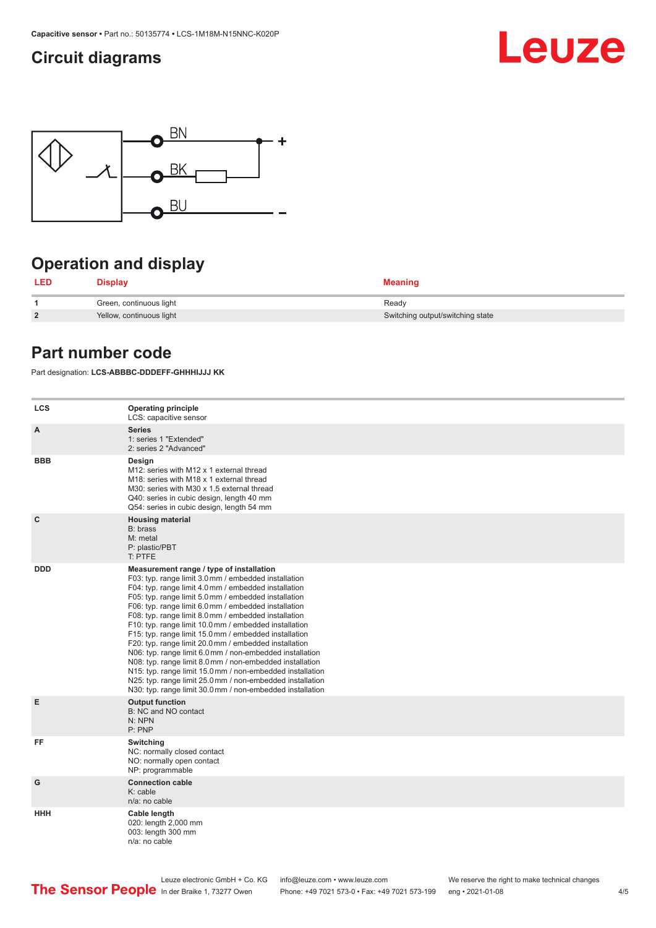### <span id="page-3-0"></span>**Circuit diagrams**





### **Operation and display**

| <b>LED</b>     | <b>Display</b>           | <b>Meaning</b>                   |
|----------------|--------------------------|----------------------------------|
|                | Green, continuous light  | Ready                            |
| $\overline{2}$ | Yellow, continuous light | Switching output/switching state |

### **Part number code**

Part designation: **LCS-ABBBC-DDDEFF-GHHHIJJJ KK**

| <b>LCS</b>   | <b>Operating principle</b><br>LCS: capacitive sensor                                                                                                                                                                                                                                                                                                                                                                                                                                                                                                                                                                                                                                                                                                                                                                       |
|--------------|----------------------------------------------------------------------------------------------------------------------------------------------------------------------------------------------------------------------------------------------------------------------------------------------------------------------------------------------------------------------------------------------------------------------------------------------------------------------------------------------------------------------------------------------------------------------------------------------------------------------------------------------------------------------------------------------------------------------------------------------------------------------------------------------------------------------------|
| A            | <b>Series</b><br>1: series 1 "Extended"<br>2: series 2 "Advanced"                                                                                                                                                                                                                                                                                                                                                                                                                                                                                                                                                                                                                                                                                                                                                          |
| <b>BBB</b>   | Design<br>M12: series with M12 x 1 external thread<br>M18: series with M18 x 1 external thread<br>M30: series with M30 x 1.5 external thread<br>Q40: series in cubic design, length 40 mm<br>Q54: series in cubic design, length 54 mm                                                                                                                                                                                                                                                                                                                                                                                                                                                                                                                                                                                     |
| $\mathbf{C}$ | <b>Housing material</b><br>B: brass<br>M: metal<br>P: plastic/PBT<br>T: PTFE                                                                                                                                                                                                                                                                                                                                                                                                                                                                                                                                                                                                                                                                                                                                               |
| <b>DDD</b>   | Measurement range / type of installation<br>F03: typ. range limit 3.0 mm / embedded installation<br>F04: typ. range limit 4.0 mm / embedded installation<br>F05: typ. range limit 5.0 mm / embedded installation<br>F06: typ. range limit 6.0 mm / embedded installation<br>F08: typ. range limit 8.0 mm / embedded installation<br>F10: typ. range limit 10.0 mm / embedded installation<br>F15: typ. range limit 15.0 mm / embedded installation<br>F20: typ. range limit 20.0 mm / embedded installation<br>N06: typ. range limit 6.0 mm / non-embedded installation<br>N08: typ. range limit 8.0 mm / non-embedded installation<br>N15: typ. range limit 15.0 mm / non-embedded installation<br>N25: typ. range limit 25.0 mm / non-embedded installation<br>N30: typ. range limit 30.0 mm / non-embedded installation |
| Е            | <b>Output function</b><br>B: NC and NO contact<br>N: NPN<br>P: PNP                                                                                                                                                                                                                                                                                                                                                                                                                                                                                                                                                                                                                                                                                                                                                         |
| FF           | Switching<br>NC: normally closed contact<br>NO: normally open contact<br>NP: programmable                                                                                                                                                                                                                                                                                                                                                                                                                                                                                                                                                                                                                                                                                                                                  |
| G            | <b>Connection cable</b><br>$K:$ cable<br>n/a: no cable                                                                                                                                                                                                                                                                                                                                                                                                                                                                                                                                                                                                                                                                                                                                                                     |
| <b>HHH</b>   | Cable length<br>020: length 2,000 mm<br>003: length 300 mm<br>n/a: no cable                                                                                                                                                                                                                                                                                                                                                                                                                                                                                                                                                                                                                                                                                                                                                |